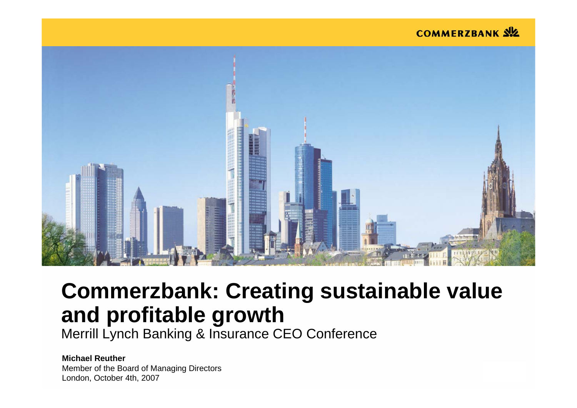#### **COMMERZBANK SIZ**



# **Commerzbank: Creating sustainable value and profitable growth**

Merrill Lynch Banking & Insurance CEO Conference

**Michael Reuther** Member of the Board of Managing Directors London, October 4th, 2007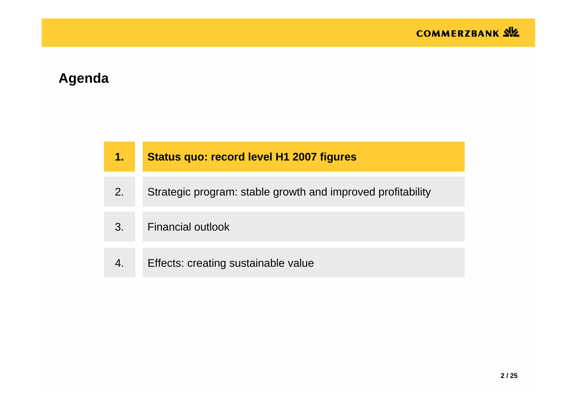# **Agenda**

| 1. | <b>Status quo: record level H1 2007 figures</b>             |
|----|-------------------------------------------------------------|
| 2. | Strategic program: stable growth and improved profitability |
| 3. | <b>Financial outlook</b>                                    |
|    | Effects: creating sustainable value                         |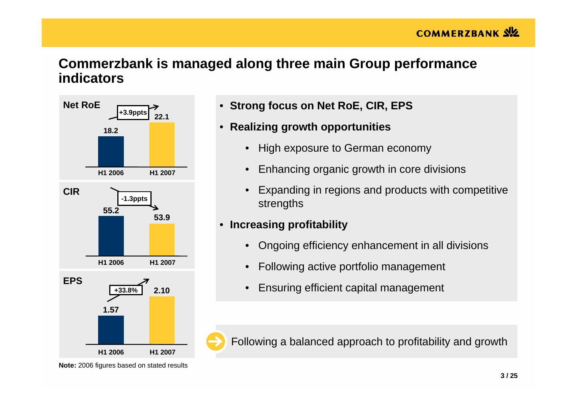## **Commerzbank is managed along three main Group performance indicators**



- **Strong focus on Net RoE, CIR, EPS**
- **Realizing growth opportunities**
	- •High exposure to German economy
	- Enhancing organic growth in core divisions
	- • Expanding in regions and products with competitive strengths

#### • **Increasing profitability**

- Ongoing efficiency enhancement in all divisions
- •Following active portfolio management
- Ensuring efficient capital management

Following a balanced approach to profitability and growth

**Note:** 2006 figures based on stated results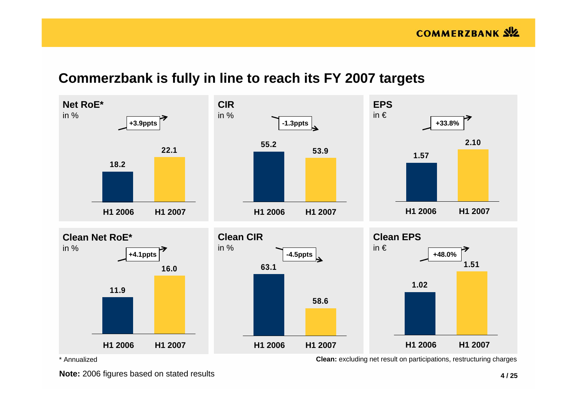# **Commerzbank is fully in line to reach its FY 2007 targets**



\* Annualized

**Note:** 2006 figures based on stated results

**Clean:** excluding net result on participations, restructuring charges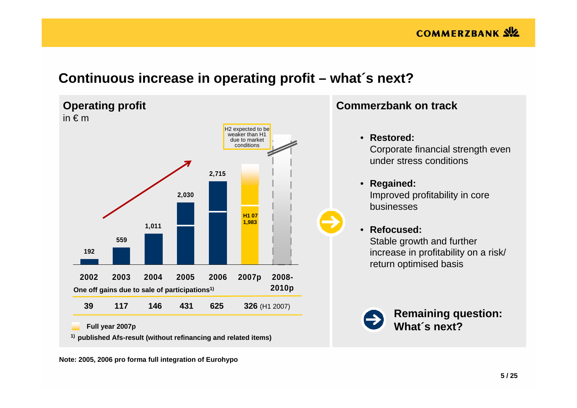## **Continuous increase in operating profit – what´s next?**



**Note: 2005, 2006 pro forma full integration of Eurohypo**

#### **Commerzbank on track**

- **Restored:** Corporate financial strength even under stress conditions
- **Regained:** Improved profitability in core businesses
- **Refocused:** Stable growth and further increase in profitability on a risk/ return optimised basis



**Remaining question: What´s next?**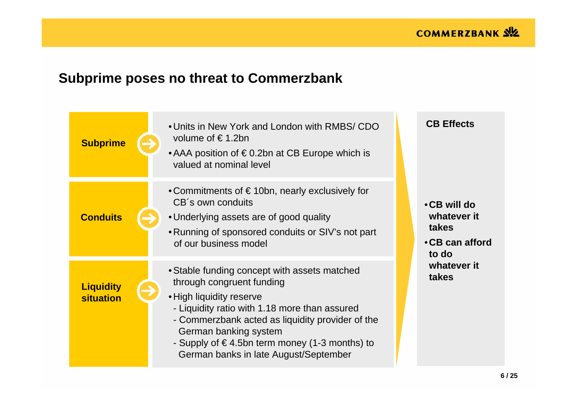# **Subprime poses no threat to Commerzbank**

| <b>Subprime</b>                      | • Units in New York and London with RMBS/ CDO<br>volume of €1.2bn<br>• AAA position of $\epsilon$ 0.2bn at CB Europe which is<br>valued at nominal level                                                                                                                                                                      | <b>CB Effects</b>                                               |
|--------------------------------------|-------------------------------------------------------------------------------------------------------------------------------------------------------------------------------------------------------------------------------------------------------------------------------------------------------------------------------|-----------------------------------------------------------------|
| <b>Conduits</b>                      | • Commitments of $\epsilon$ 10bn, nearly exclusively for<br>CB's own conduits<br>• Underlying assets are of good quality<br>• Running of sponsored conduits or SIV's not part<br>of our business model                                                                                                                        | • CB will do<br>whatever it<br>takes<br>•CB can afford<br>to do |
| <b>Liquidity</b><br><b>situation</b> | • Stable funding concept with assets matched<br>through congruent funding<br>• High liquidity reserve<br>- Liquidity ratio with 1.18 more than assured<br>- Commerzbank acted as liquidity provider of the<br>German banking system<br>- Supply of €4.5bn term money (1-3 months) to<br>German banks in late August/September | whatever it<br>takes                                            |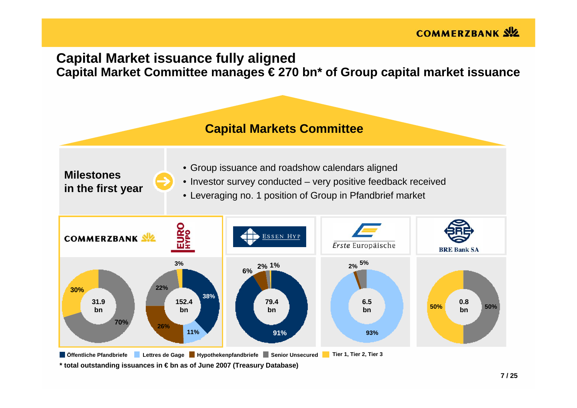## **Capital Market issuance fully aligned Capital Market Committee manages € 270 bn\* of Group capital market issuance**

**Capital Markets Committee Capital Markets Committee**

**Milestonesin the first year**

- Group issuance and roadshow calendars aligned
- Investor survey conducted very positive feedback received
- Leveraging no. 1 position of Group in Pfandbrief market



**\* total outstanding issuances in € bn as of June 2007 (Treasury Database)**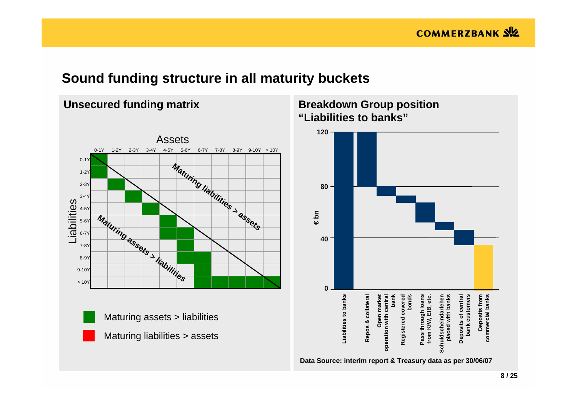## **Sound funding structure in all maturity buckets**

**Unsecured funding matrix**



#### **Breakdown Group position "Liabilities to banks"**

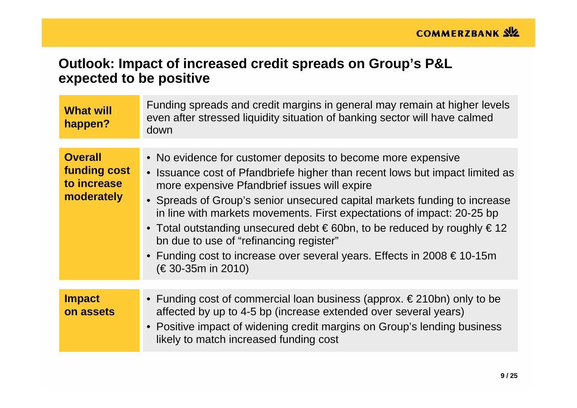## **Outlook: Impact of increased credit spreads on Group's P&L expected to be positive**

| <b>What will</b><br>happen?                                 | Funding spreads and credit margins in general may remain at higher levels<br>even after stressed liquidity situation of banking sector will have calmed<br>down                                                                                                                                                                                                                                                                                                                                                                                                                                         |
|-------------------------------------------------------------|---------------------------------------------------------------------------------------------------------------------------------------------------------------------------------------------------------------------------------------------------------------------------------------------------------------------------------------------------------------------------------------------------------------------------------------------------------------------------------------------------------------------------------------------------------------------------------------------------------|
| <b>Overall</b><br>funding cost<br>to increase<br>moderately | • No evidence for customer deposits to become more expensive<br>• Issuance cost of Pfandbriefe higher than recent lows but impact limited as<br>more expensive Pfandbrief issues will expire<br>• Spreads of Group's senior unsecured capital markets funding to increase<br>in line with markets movements. First expectations of impact: 20-25 bp<br>• Total outstanding unsecured debt $\epsilon$ 60bn, to be reduced by roughly $\epsilon$ 12<br>bn due to use of "refinancing register"<br>• Funding cost to increase over several years. Effects in 2008 $\epsilon$ 10-15m<br>$(€30-35m in 2010)$ |
| <b>Impact</b><br>on assets                                  | • Funding cost of commercial loan business (approx. $\in$ 210bn) only to be<br>affected by up to 4-5 bp (increase extended over several years)<br>• Positive impact of widening credit margins on Group's lending business<br>likely to match increased funding cost                                                                                                                                                                                                                                                                                                                                    |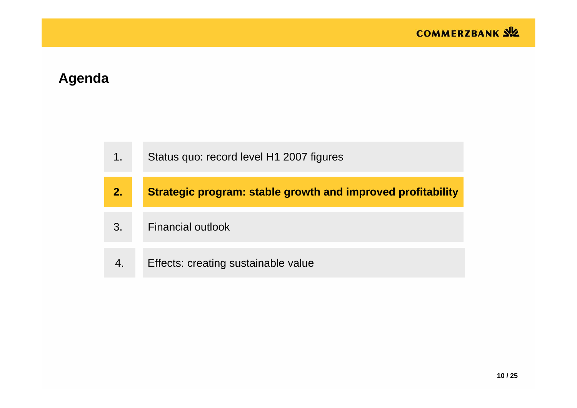# **Agenda**

| 1. | Status quo: record level H1 2007 figures                           |
|----|--------------------------------------------------------------------|
| 2. | <b>Strategic program: stable growth and improved profitability</b> |
| 3. | <b>Financial outlook</b>                                           |
|    | Effects: creating sustainable value                                |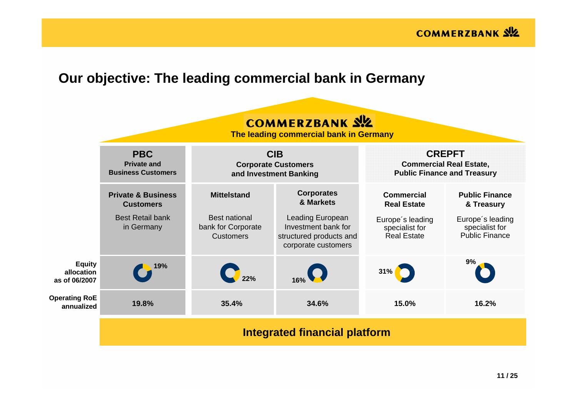

## **Our objective: The leading commercial bank in Germany**

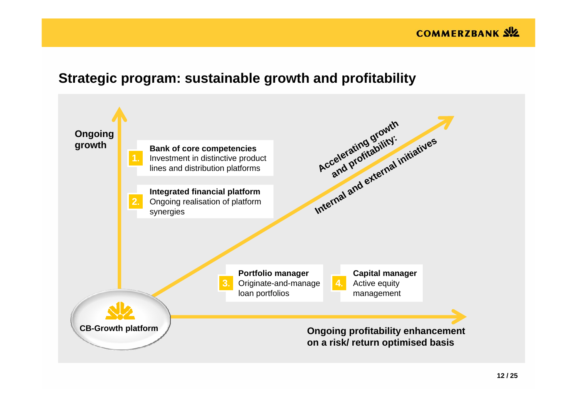#### **COMMERZBANK SIZ**

## **Strategic program: sustainable growth and profitability**

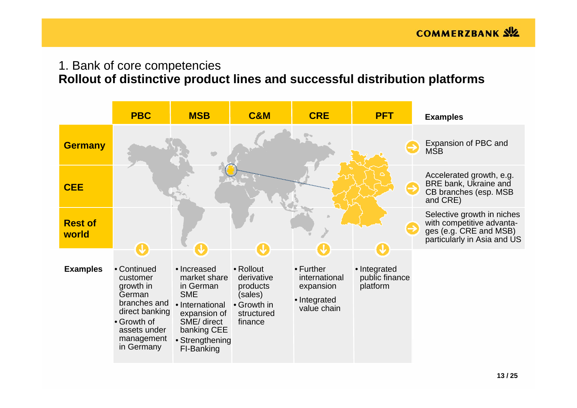# 1. Bank of core competencies

# **Rollout of distinctive product lines and successful distribution platforms**

|                         | <b>PBC</b>                                                                                                                                  | <b>MSB</b>                                                                                                                                               | <b>C&amp;M</b>                                                                         | <b>CRE</b>                                                                     | <b>PFT</b>                                 | <b>Examples</b>                                                                                                  |
|-------------------------|---------------------------------------------------------------------------------------------------------------------------------------------|----------------------------------------------------------------------------------------------------------------------------------------------------------|----------------------------------------------------------------------------------------|--------------------------------------------------------------------------------|--------------------------------------------|------------------------------------------------------------------------------------------------------------------|
| <b>Germany</b>          |                                                                                                                                             |                                                                                                                                                          |                                                                                        |                                                                                |                                            | Expansion of PBC and<br><b>MSB</b>                                                                               |
| <b>CEE</b>              |                                                                                                                                             |                                                                                                                                                          |                                                                                        |                                                                                |                                            | Accelerated growth, e.g.<br>BRE bank, Ukraine and<br>CB branches (esp. MSB<br>and CRE)                           |
| <b>Rest of</b><br>world | N,                                                                                                                                          | O                                                                                                                                                        | J                                                                                      |                                                                                | <b>J</b>                                   | Selective growth in niches<br>with competitive advanta-<br>ges (e.g. CRE and MSB)<br>particularly in Asia and US |
| <b>Examples</b>         | • Continued<br>customer<br>growth in<br>German<br>branches and<br>direct banking<br>• Growth of<br>assets under<br>management<br>in Germany | • Increased<br>market share<br>in German<br><b>SME</b><br>• International<br>expansion of<br>SME/ direct<br>banking CEE<br>• Strengthening<br>FI-Banking | • Rollout<br>derivative<br>products<br>(sales)<br>• Growth in<br>structured<br>finance | $\bullet$ Further<br>international<br>expansion<br>• Integrated<br>value chain | • Integrated<br>public finance<br>platform |                                                                                                                  |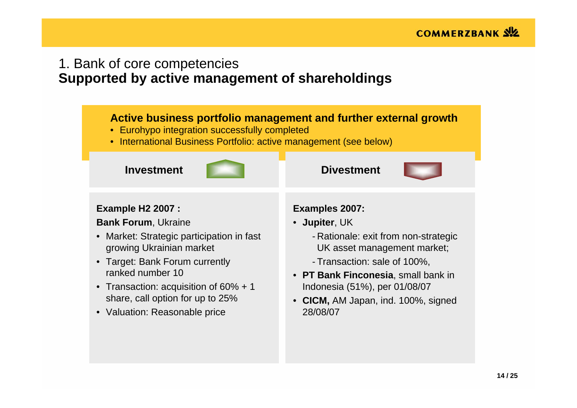## 1. Bank of core competencies **Supported by active management of shareholdings**

#### **Active business portfolio management and further external growth**

- Eurohypo integration successfully completed
- International Business Portfolio: active management (see below)

#### **Investment**



#### **Example H2 2007 :**

**Bank Forum**, Ukraine

- Market: Strategic participation in fast growing Ukrainian market
- Target: Bank Forum currently ranked number 10
- Transaction: acquisition of 60% + 1 share, call option for up to 25%
- Valuation: Reasonable price

#### **Examples 2007:**

**Divestment**

- **Jupiter**, UK
	- Rationale: exit from non-strategic UK asset management market;
	- Transaction: sale of 100%,
- **PT Bank Finconesia**, small bank in Indonesia (51%), per 01/08/07
- **CICM,** AM Japan, ind. 100%, signed 28/08/07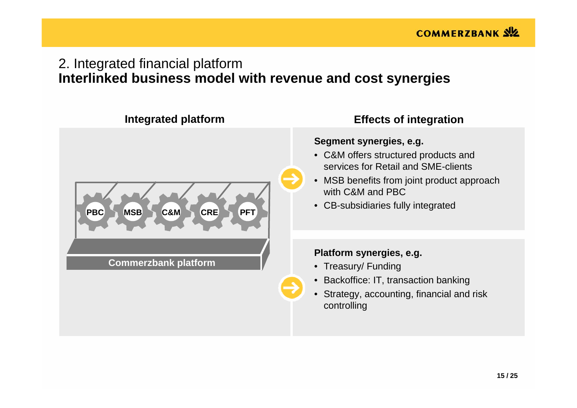# 2. Integrated financial platform **Interlinked business model with revenue and cost synergies**

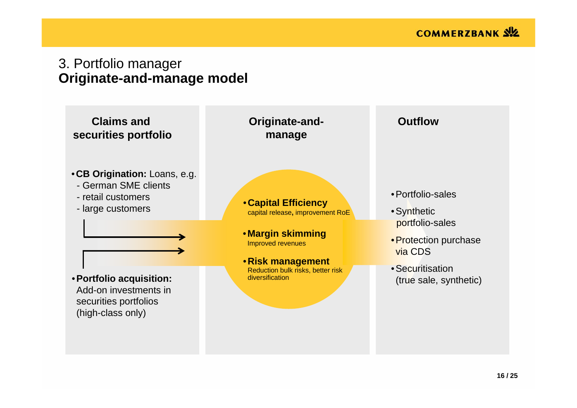## 3. Portfolio manager **Originate-and-manage model**

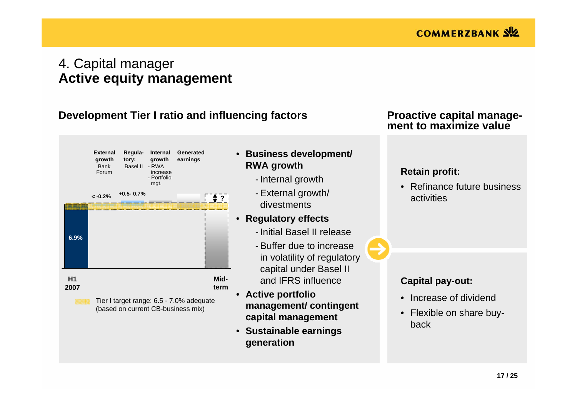## 4. Capital manager **Active equity management**

#### **Development Tier I ratio and influencing factors**



(based on current CB-business mix)

- **Business development/ RWA growth**
	- Internal growth
	- External growth/ divestments
- **Regulatory effects**
	- Initial Basel II release
	- Buffer due to increasein volatility of regulatory capital under Basel II and IFRS influence
- **Active portfolio management/ contingent capital management**
- **Sustainable earnings generation**

#### **Proactive capital management to maximize value**

#### **Retain profit:**

• Refinance future business activities

#### **Capital pay-out:**

- Increase of dividend
- Flexible on share buyback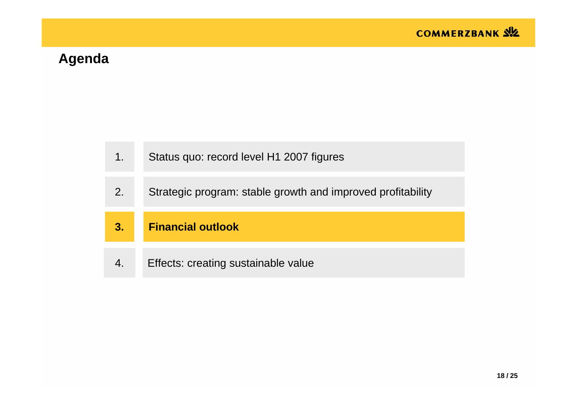# **Agenda**

| 1. | Status quo: record level H1 2007 figures                    |
|----|-------------------------------------------------------------|
| 2. | Strategic program: stable growth and improved profitability |
|    |                                                             |
| 3. | <b>Financial outlook</b>                                    |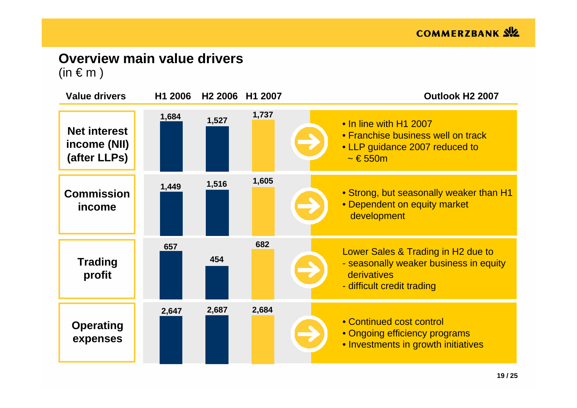# **Overview main value drivers**

 $(in \in m)$ 

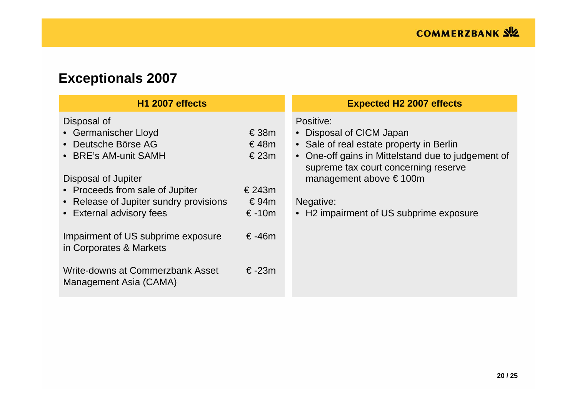# **Exceptionals 2007**

| <b>H1 2007 effects</b>                                                                                                       | <b>Expected H2 2007 effects</b> |                                                                                                                                                                                 |  |
|------------------------------------------------------------------------------------------------------------------------------|---------------------------------|---------------------------------------------------------------------------------------------------------------------------------------------------------------------------------|--|
| Disposal of<br>• Germanischer Lloyd<br>• Deutsche Börse AG<br>• BRE's AM-unit SAMH                                           | €38m<br>€48m<br>€23m            | Positive:<br>• Disposal of CICM Japan<br>• Sale of real estate property in Berlin<br>• One-off gains in Mittelstand due to judgement of<br>supreme tax court concerning reserve |  |
| Disposal of Jupiter<br>• Proceeds from sale of Jupiter<br>• Release of Jupiter sundry provisions<br>• External advisory fees | € 243 $m$<br>€94m<br>$€-10m$    | management above $\epsilon$ 100m<br>Negative:<br>• H2 impairment of US subprime exposure                                                                                        |  |
| Impairment of US subprime exposure<br>in Corporates & Markets                                                                | $€-46m$                         |                                                                                                                                                                                 |  |
| Write-downs at Commerzbank Asset<br>Management Asia (CAMA)                                                                   | $€-23m$                         |                                                                                                                                                                                 |  |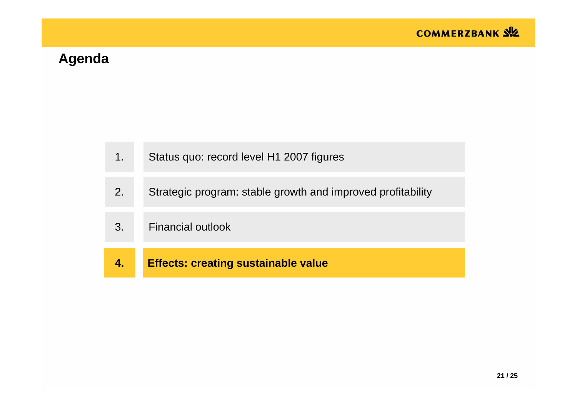# **Agenda**

| 1. | Status quo: record level H1 2007 figures                    |
|----|-------------------------------------------------------------|
| 2. | Strategic program: stable growth and improved profitability |
| 3. | <b>Financial outlook</b>                                    |
|    | <b>Effects: creating sustainable value</b>                  |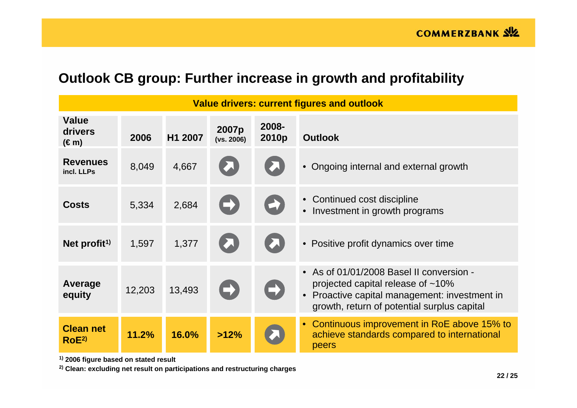# **Outlook CB group: Further increase in growth and profitability**

| <b>Value drivers: current figures and outlook</b> |        |         |                     |                       |                                                                                                                                                                                  |  |  |
|---------------------------------------------------|--------|---------|---------------------|-----------------------|----------------------------------------------------------------------------------------------------------------------------------------------------------------------------------|--|--|
| <b>Value</b><br>drivers<br>$(\epsilon m)$         | 2006   | H1 2007 | 2007p<br>(vs. 2006) | 2008-<br>2010p        | <b>Outlook</b>                                                                                                                                                                   |  |  |
| <b>Revenues</b><br>incl. LLPs                     | 8,049  | 4,667   |                     |                       | • Ongoing internal and external growth                                                                                                                                           |  |  |
| <b>Costs</b>                                      | 5,334  | 2,684   |                     | $\blacktriangleright$ | • Continued cost discipline<br>Investment in growth programs                                                                                                                     |  |  |
| Net profit <sup>1)</sup>                          | 1,597  | 1,377   |                     |                       | • Positive profit dynamics over time                                                                                                                                             |  |  |
| Average<br>equity                                 | 12,203 | 13,493  |                     | $\rightarrow$         | • As of 01/01/2008 Basel II conversion -<br>projected capital release of $~10\%$<br>• Proactive capital management: investment in<br>growth, return of potential surplus capital |  |  |
| <b>Clean net</b><br>ROE <sup>2</sup>              | 11.2%  | 16.0%   | >12%                |                       | • Continuous improvement in RoE above 15% to<br>achieve standards compared to international<br>peers                                                                             |  |  |

**1) 2006 figure based on stated result**

**2) Clean: excluding net result on participations and restructuring charges**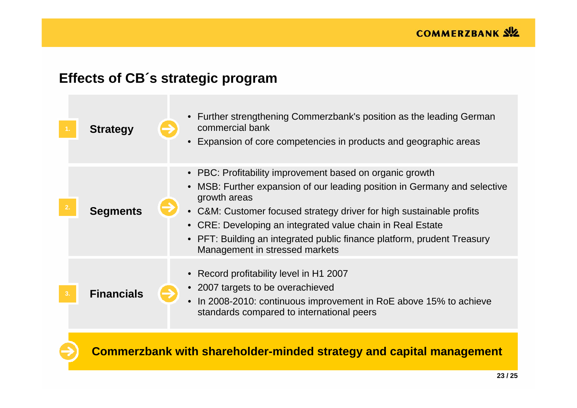# **Effects of CB´s strategic program**

| <b>Strategy</b>   | • Further strengthening Commerzbank's position as the leading German<br>commercial bank<br>Expansion of core competencies in products and geographic areas                                                                                                                                                                                                                                                        |
|-------------------|-------------------------------------------------------------------------------------------------------------------------------------------------------------------------------------------------------------------------------------------------------------------------------------------------------------------------------------------------------------------------------------------------------------------|
| <b>Segments</b>   | • PBC: Profitability improvement based on organic growth<br>MSB: Further expansion of our leading position in Germany and selective<br>$\bullet$<br>growth areas<br>• C&M: Customer focused strategy driver for high sustainable profits<br>• CRE: Developing an integrated value chain in Real Estate<br>PFT: Building an integrated public finance platform, prudent Treasury<br>Management in stressed markets |
| <b>Financials</b> | • Record profitability level in H1 2007<br>• 2007 targets to be overachieved<br>In 2008-2010: continuous improvement in RoE above 15% to achieve<br>standards compared to international peers                                                                                                                                                                                                                     |
|                   | <b>Commerzbank with shareholder-minded strategy and capital management</b>                                                                                                                                                                                                                                                                                                                                        |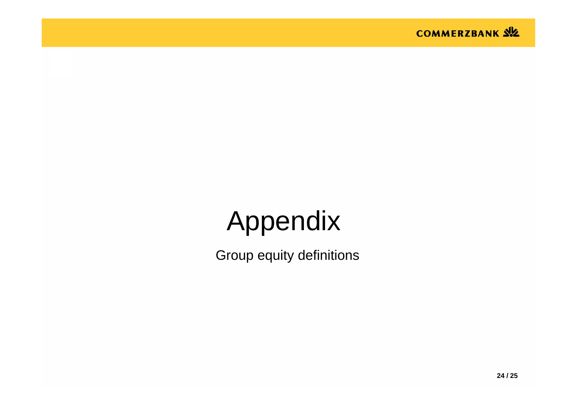

# Appendix

Group equity definitions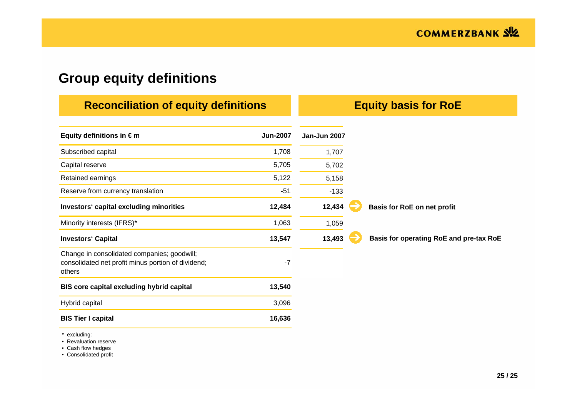# **Group equity definitions**

| <b>Reconciliation of equity definitions</b>                                                                 | <b>Equity basis for RoE</b> |              |  |                                         |
|-------------------------------------------------------------------------------------------------------------|-----------------------------|--------------|--|-----------------------------------------|
| Equity definitions in $\epsilon$ m                                                                          | <b>Jun-2007</b>             | Jan-Jun 2007 |  |                                         |
| Subscribed capital                                                                                          | 1,708                       | 1,707        |  |                                         |
| Capital reserve                                                                                             | 5,705                       | 5,702        |  |                                         |
| Retained earnings                                                                                           | 5,122                       | 5,158        |  |                                         |
| Reserve from currency translation                                                                           | $-51$                       | $-133$       |  |                                         |
| Investors' capital excluding minorities                                                                     | 12,484                      | 12,434       |  | Basis for RoE on net profit             |
| Minority interests (IFRS)*                                                                                  | 1,063                       | 1,059        |  |                                         |
| <b>Investors' Capital</b>                                                                                   | 13,547                      | 13,493       |  | Basis for operating RoE and pre-tax RoE |
| Change in consolidated companies; goodwill;<br>consolidated net profit minus portion of dividend;<br>others | $-7$                        |              |  |                                         |
| BIS core capital excluding hybrid capital                                                                   | 13,540                      |              |  |                                         |
| Hybrid capital                                                                                              | 3,096                       |              |  |                                         |
| <b>BIS Tier I capital</b>                                                                                   | 16,636                      |              |  |                                         |

\* excluding:

• Revaluation reserve

• Cash flow hedges

• Consolidated profit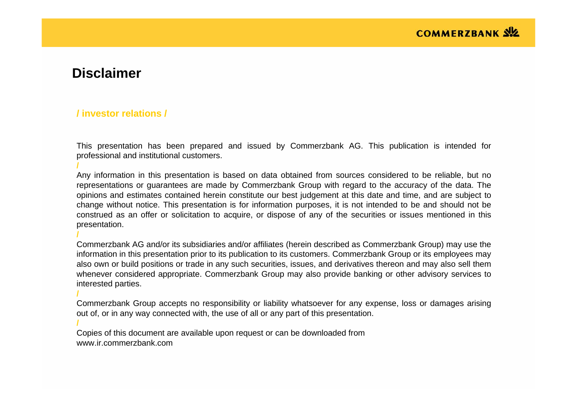### **Disclaimer**

**/**

**/**

**/**

**/**

#### **/ investor relations /**

This presentation has been prepared and issued by Commerzbank AG. This publication is intended for professional and institutional customers.

Any information in this presentation is based on data obtained from sources considered to be reliable, but no representations or guarantees are made by Commerzbank Group with regard to the accuracy of the data. The opinions and estimates contained herein constitute our best judgement at this date and time, and are subject to change without notice. This presentation is for information purposes, it is not intended to be and should not be construed as an offer or solicitation to acquire, or dispose of any of the securities or issues mentioned in this presentation.

Commerzbank AG and/or its subsidiaries and/or affiliates (herein described as Commerzbank Group) may use the information in this presentation prior to its publication to its customers. Commerzbank Group or its employees may also own or build positions or trade in any such securities, issues, and derivatives thereon and may also sell them whenever considered appropriate. Commerzbank Group may also provide banking or other advisory services to interested parties.

Commerzbank Group accepts no responsibility or liability whatsoever for any expense, loss or damages arising out of, or in any way connected with, the use of all or any part of this presentation.

Copies of this document are available upon request or can be downloaded from www.ir.commerzbank.com